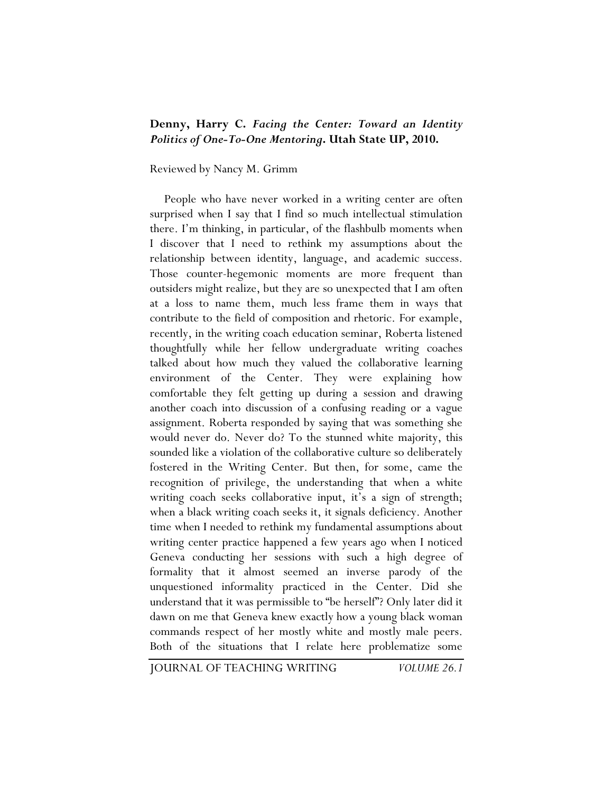## **Denny, Harry C.** *Facing the Center: Toward an Identity Politics of One-To-One Mentoring***. Utah State UP, 2010.**

## Reviewed by Nancy M. Grimm

People who have never worked in a writing center are often surprised when I say that I find so much intellectual stimulation there. I'm thinking, in particular, of the flashbulb moments when I discover that I need to rethink my assumptions about the relationship between identity, language, and academic success. Those counter-hegemonic moments are more frequent than outsiders might realize, but they are so unexpected that I am often at a loss to name them, much less frame them in ways that contribute to the field of composition and rhetoric. For example, recently, in the writing coach education seminar, Roberta listened thoughtfully while her fellow undergraduate writing coaches talked about how much they valued the collaborative learning environment of the Center. They were explaining how comfortable they felt getting up during a session and drawing another coach into discussion of a confusing reading or a vague assignment. Roberta responded by saying that was something she would never do. Never do? To the stunned white majority, this sounded like a violation of the collaborative culture so deliberately fostered in the Writing Center. But then, for some, came the recognition of privilege, the understanding that when a white writing coach seeks collaborative input, it's a sign of strength; when a black writing coach seeks it, it signals deficiency. Another time when I needed to rethink my fundamental assumptions about writing center practice happened a few years ago when I noticed Geneva conducting her sessions with such a high degree of formality that it almost seemed an inverse parody of the unquestioned informality practiced in the Center. Did she understand that it was permissible to "be herself"? Only later did it dawn on me that Geneva knew exactly how a young black woman commands respect of her mostly white and mostly male peers. Both of the situations that I relate here problematize some

JOURNAL OF TEACHING WRITING *VOLUME 26.1*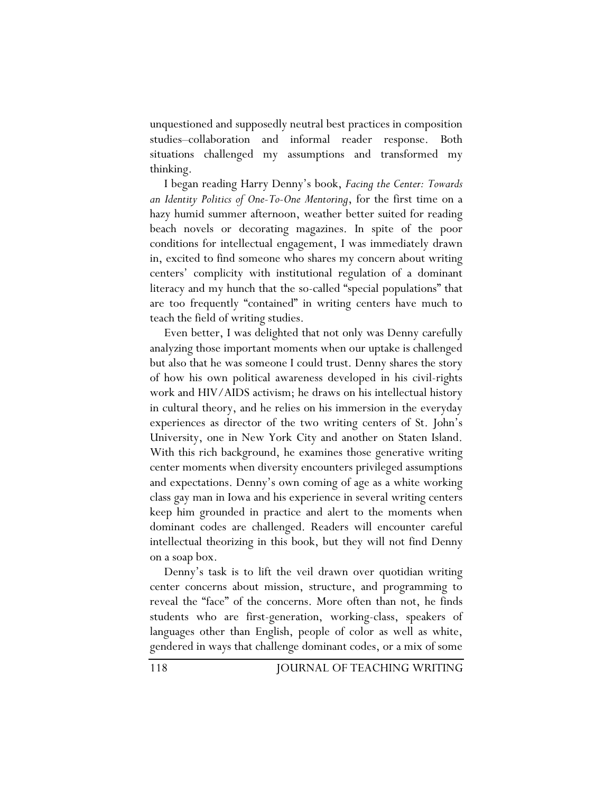unquestioned and supposedly neutral best practices in composition studies–collaboration and informal reader response. Both situations challenged my assumptions and transformed my thinking.

I began reading Harry Denny's book, *Facing the Center: Towards an Identity Politics of One-To-One Mentoring*, for the first time on a hazy humid summer afternoon, weather better suited for reading beach novels or decorating magazines. In spite of the poor conditions for intellectual engagement, I was immediately drawn in, excited to find someone who shares my concern about writing centers' complicity with institutional regulation of a dominant literacy and my hunch that the so-called "special populations" that are too frequently "contained" in writing centers have much to teach the field of writing studies.

Even better, I was delighted that not only was Denny carefully analyzing those important moments when our uptake is challenged but also that he was someone I could trust. Denny shares the story of how his own political awareness developed in his civil-rights work and HIV/AIDS activism; he draws on his intellectual history in cultural theory, and he relies on his immersion in the everyday experiences as director of the two writing centers of St. John's University, one in New York City and another on Staten Island. With this rich background, he examines those generative writing center moments when diversity encounters privileged assumptions and expectations. Denny's own coming of age as a white working class gay man in Iowa and his experience in several writing centers keep him grounded in practice and alert to the moments when dominant codes are challenged. Readers will encounter careful intellectual theorizing in this book, but they will not find Denny on a soap box.

Denny's task is to lift the veil drawn over quotidian writing center concerns about mission, structure, and programming to reveal the "face" of the concerns. More often than not, he finds students who are first-generation, working-class, speakers of languages other than English, people of color as well as white, gendered in ways that challenge dominant codes, or a mix of some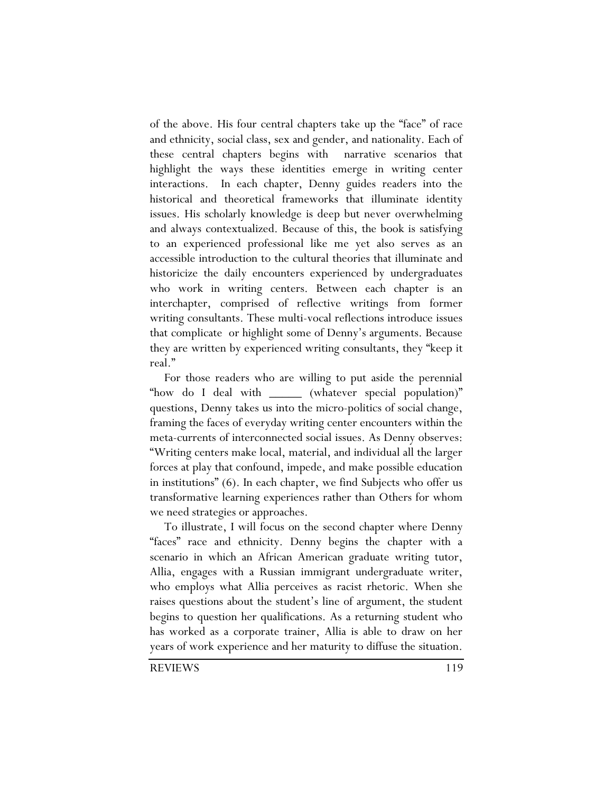of the above. His four central chapters take up the "face" of race and ethnicity, social class, sex and gender, and nationality. Each of these central chapters begins with narrative scenarios that highlight the ways these identities emerge in writing center interactions. In each chapter, Denny guides readers into the historical and theoretical frameworks that illuminate identity issues. His scholarly knowledge is deep but never overwhelming and always contextualized. Because of this, the book is satisfying to an experienced professional like me yet also serves as an accessible introduction to the cultural theories that illuminate and historicize the daily encounters experienced by undergraduates who work in writing centers. Between each chapter is an interchapter, comprised of reflective writings from former writing consultants. These multi-vocal reflections introduce issues that complicate or highlight some of Denny's arguments. Because they are written by experienced writing consultants, they "keep it real."

For those readers who are willing to put aside the perennial "how do I deal with \_\_\_\_\_\_ (whatever special population)" questions, Denny takes us into the micro-politics of social change, framing the faces of everyday writing center encounters within the meta-currents of interconnected social issues. As Denny observes: "Writing centers make local, material, and individual all the larger forces at play that confound, impede, and make possible education in institutions" (6). In each chapter, we find Subjects who offer us transformative learning experiences rather than Others for whom we need strategies or approaches.

To illustrate, I will focus on the second chapter where Denny "faces" race and ethnicity. Denny begins the chapter with a scenario in which an African American graduate writing tutor, Allia, engages with a Russian immigrant undergraduate writer, who employs what Allia perceives as racist rhetoric. When she raises questions about the student's line of argument, the student begins to question her qualifications. As a returning student who has worked as a corporate trainer, Allia is able to draw on her years of work experience and her maturity to diffuse the situation.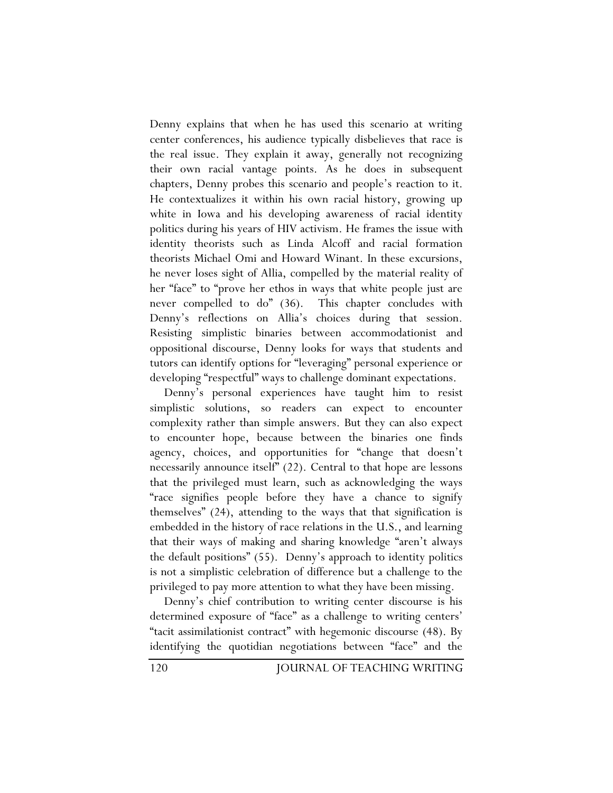Denny explains that when he has used this scenario at writing center conferences, his audience typically disbelieves that race is the real issue. They explain it away, generally not recognizing their own racial vantage points. As he does in subsequent chapters, Denny probes this scenario and people's reaction to it. He contextualizes it within his own racial history, growing up white in Iowa and his developing awareness of racial identity politics during his years of HIV activism. He frames the issue with identity theorists such as Linda Alcoff and racial formation theorists Michael Omi and Howard Winant. In these excursions, he never loses sight of Allia, compelled by the material reality of her "face" to "prove her ethos in ways that white people just are never compelled to do" (36). This chapter concludes with Denny's reflections on Allia's choices during that session. Resisting simplistic binaries between accommodationist and oppositional discourse, Denny looks for ways that students and tutors can identify options for "leveraging" personal experience or developing "respectful" ways to challenge dominant expectations.

Denny's personal experiences have taught him to resist simplistic solutions, so readers can expect to encounter complexity rather than simple answers. But they can also expect to encounter hope, because between the binaries one finds agency, choices, and opportunities for "change that doesn't necessarily announce itself" (22). Central to that hope are lessons that the privileged must learn, such as acknowledging the ways "race signifies people before they have a chance to signify themselves" (24), attending to the ways that that signification is embedded in the history of race relations in the U.S., and learning that their ways of making and sharing knowledge "aren't always the default positions" (55). Denny's approach to identity politics is not a simplistic celebration of difference but a challenge to the privileged to pay more attention to what they have been missing.

Denny's chief contribution to writing center discourse is his determined exposure of "face" as a challenge to writing centers' "tacit assimilationist contract" with hegemonic discourse (48). By identifying the quotidian negotiations between "face" and the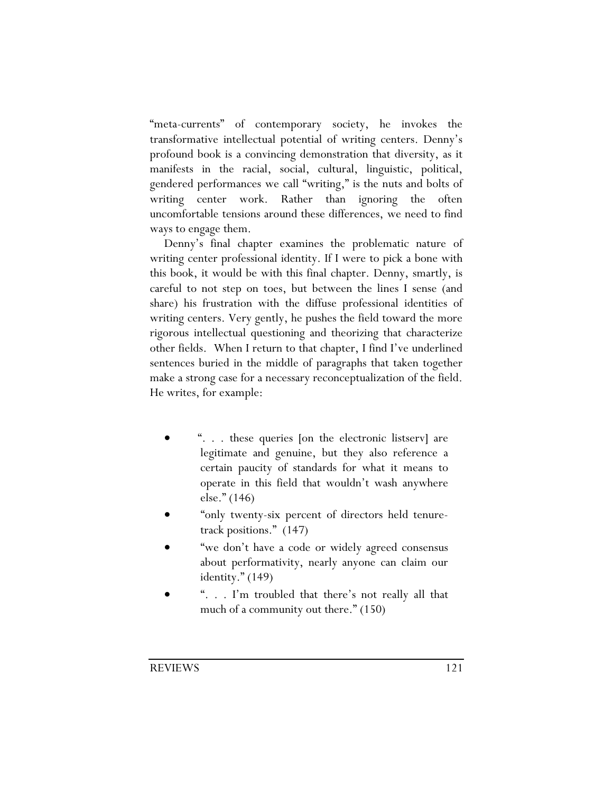"meta-currents" of contemporary society, he invokes the transformative intellectual potential of writing centers. Denny's profound book is a convincing demonstration that diversity, as it manifests in the racial, social, cultural, linguistic, political, gendered performances we call "writing," is the nuts and bolts of writing center work. Rather than ignoring the often uncomfortable tensions around these differences, we need to find ways to engage them.

Denny's final chapter examines the problematic nature of writing center professional identity. If I were to pick a bone with this book, it would be with this final chapter. Denny, smartly, is careful to not step on toes, but between the lines I sense (and share) his frustration with the diffuse professional identities of writing centers. Very gently, he pushes the field toward the more rigorous intellectual questioning and theorizing that characterize other fields. When I return to that chapter, I find I've underlined sentences buried in the middle of paragraphs that taken together make a strong case for a necessary reconceptualization of the field. He writes, for example:

- ". . . these queries [on the electronic listserv] are legitimate and genuine, but they also reference a certain paucity of standards for what it means to operate in this field that wouldn't wash anywhere else." (146)
- "only twenty-six percent of directors held tenuretrack positions." (147)
- "we don't have a code or widely agreed consensus about performativity, nearly anyone can claim our identity." (149)
- ". . . I'm troubled that there's not really all that much of a community out there." (150)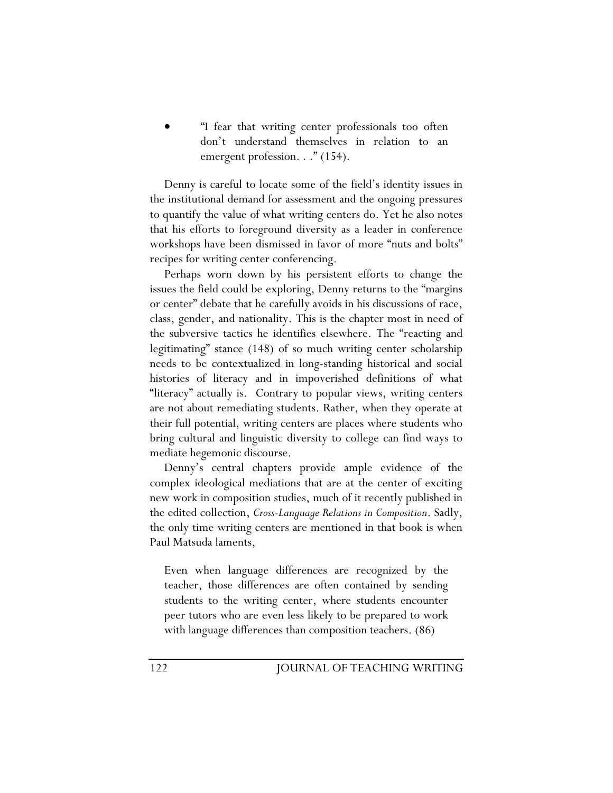• "I fear that writing center professionals too often don't understand themselves in relation to an emergent profession. . ." (154).

Denny is careful to locate some of the field's identity issues in the institutional demand for assessment and the ongoing pressures to quantify the value of what writing centers do. Yet he also notes that his efforts to foreground diversity as a leader in conference workshops have been dismissed in favor of more "nuts and bolts" recipes for writing center conferencing.

Perhaps worn down by his persistent efforts to change the issues the field could be exploring, Denny returns to the "margins or center" debate that he carefully avoids in his discussions of race, class, gender, and nationality. This is the chapter most in need of the subversive tactics he identifies elsewhere. The "reacting and legitimating" stance (148) of so much writing center scholarship needs to be contextualized in long-standing historical and social histories of literacy and in impoverished definitions of what "literacy" actually is. Contrary to popular views, writing centers are not about remediating students. Rather, when they operate at their full potential, writing centers are places where students who bring cultural and linguistic diversity to college can find ways to mediate hegemonic discourse.

Denny's central chapters provide ample evidence of the complex ideological mediations that are at the center of exciting new work in composition studies, much of it recently published in the edited collection, *Cross-Language Relations in Composition*. Sadly, the only time writing centers are mentioned in that book is when Paul Matsuda laments,

Even when language differences are recognized by the teacher, those differences are often contained by sending students to the writing center, where students encounter peer tutors who are even less likely to be prepared to work with language differences than composition teachers. (86)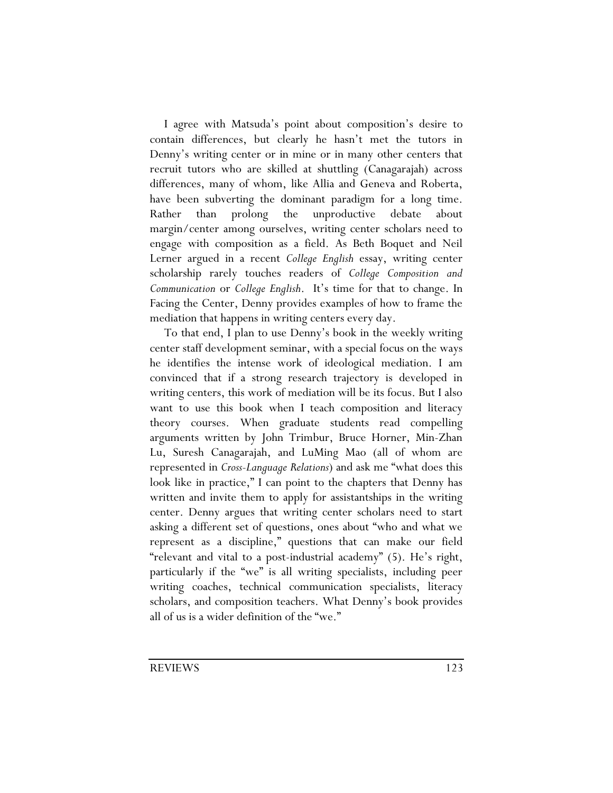I agree with Matsuda's point about composition's desire to contain differences, but clearly he hasn't met the tutors in Denny's writing center or in mine or in many other centers that recruit tutors who are skilled at shuttling (Canagarajah) across differences, many of whom, like Allia and Geneva and Roberta, have been subverting the dominant paradigm for a long time. Rather than prolong the unproductive debate about margin/center among ourselves, writing center scholars need to engage with composition as a field. As Beth Boquet and Neil Lerner argued in a recent *College English* essay, writing center scholarship rarely touches readers of *College Composition and Communication* or *College English*. It's time for that to change. In Facing the Center, Denny provides examples of how to frame the mediation that happens in writing centers every day.

To that end, I plan to use Denny's book in the weekly writing center staff development seminar, with a special focus on the ways he identifies the intense work of ideological mediation. I am convinced that if a strong research trajectory is developed in writing centers, this work of mediation will be its focus. But I also want to use this book when I teach composition and literacy theory courses. When graduate students read compelling arguments written by John Trimbur, Bruce Horner, Min-Zhan Lu, Suresh Canagarajah, and LuMing Mao (all of whom are represented in *Cross-Language Relations*) and ask me "what does this look like in practice," I can point to the chapters that Denny has written and invite them to apply for assistantships in the writing center. Denny argues that writing center scholars need to start asking a different set of questions, ones about "who and what we represent as a discipline," questions that can make our field "relevant and vital to a post-industrial academy" (5). He's right, particularly if the "we" is all writing specialists, including peer writing coaches, technical communication specialists, literacy scholars, and composition teachers. What Denny's book provides all of us is a wider definition of the "we."